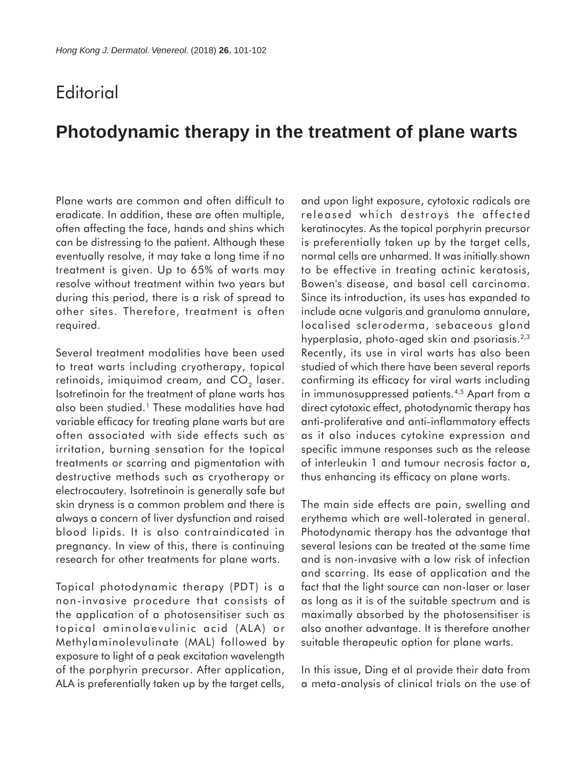## **Editorial**

## **Photodynamic therapy in the treatment of plane warts**

Plane warts are common and often difficult to eradicate. In addition, these are often multiple, often affecting the face, hands and shins which can be distressing to the patient. Although these eventually resolve, it may take a long time if no treatment is given. Up to 65% of warts may resolve without treatment within two years but during this period, there is a risk of spread to other sites. Therefore, treatment is often required.

Several treatment modalities have been used to treat warts including cryotherapy, topical retinoids, imiquimod cream, and  $CO<sub>2</sub>$  laser. Isotretinoin for the treatment of plane warts has also been studied.1 These modalities have had variable efficacy for treating plane warts but are often associated with side effects such as irritation, burning sensation for the topical treatments or scarring and pigmentation with destructive methods such as cryotherapy or electrocautery. Isotretinoin is generally safe but skin dryness is a common problem and there is always a concern of liver dysfunction and raised blood lipids. It is also contraindicated in pregnancy. In view of this, there is continuing research for other treatments for plane warts.

Topical photodynamic therapy (PDT) is a non-invasive procedure that consists of the application of a photosensitiser such as topical aminolaevulinic acid (ALA) or Methylaminolevulinate (MAL) followed by exposure to light of a peak excitation wavelength of the porphyrin precursor. After application, ALA is preferentially taken up by the target cells,

and upon light exposure, cytotoxic radicals are released which destroys the affected keratinocytes. As the topical porphyrin precursor is preferentially taken up by the target cells, normal cells are unharmed. It was initially shown to be effective in treating actinic keratosis, Bowen's disease, and basal cell carcinoma. Since its introduction, its uses has expanded to include acne vulgaris and granuloma annulare, localised scleroderma, sebaceous gland hyperplasia, photo-aged skin and psoriasis.<sup>2,3</sup> Recently, its use in viral warts has also been studied of which there have been several reports confirming its efficacy for viral warts including in immunosuppressed patients.4,5 Apart from a direct cytotoxic effect, photodynamic therapy has anti-proliferative and anti-inflammatory effects as it also induces cytokine expression and specific immune responses such as the release of interleukin 1 and tumour necrosis factor a, thus enhancing its efficacy on plane warts.

The main side effects are pain, swelling and erythema which are well-tolerated in general. Photodynamic therapy has the advantage that several lesions can be treated at the same time and is non-invasive with a low risk of infection and scarring. Its ease of application and the fact that the light source can non-laser or laser as long as it is of the suitable spectrum and is maximally absorbed by the photosensitiser is also another advantage. It is therefore another suitable therapeutic option for plane warts.

In this issue, Ding et al provide their data from a meta-analysis of clinical trials on the use of